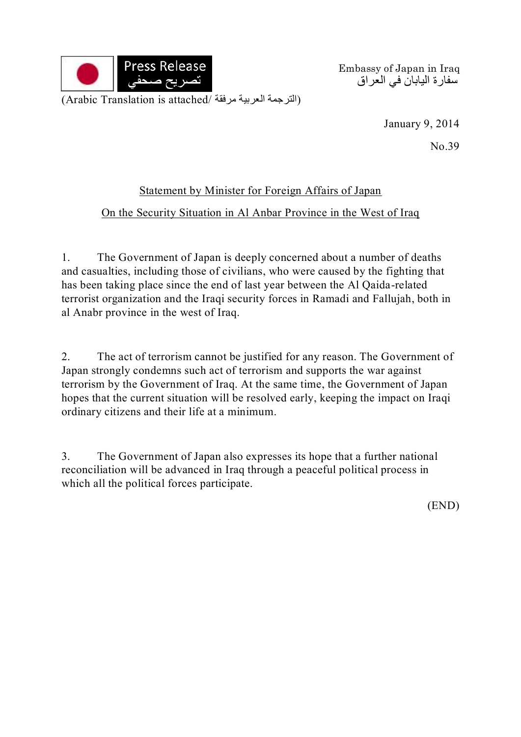

Embassy of Japan in Iraq سفارة اليابان في العراق

(Arabic Translation is attached/ الترجمة العربية مرفقة)

January 9, 2014

No.39

## Statement by Minister for Foreign Affairs of Japan

## On the Security Situation in Al Anbar Province in the West of Iraq

1. The Government of Japan is deeply concerned about a number of deaths and casualties, including those of civilians, who were caused by the fighting that has been taking place since the end of last year between the Al Qaida-related terrorist organization and the Iraqi security forces in Ramadi and Fallujah, both in al Anabr province in the west of Iraq.

2. The act of terrorism cannot be justified for any reason. The Government of Japan strongly condemns such act of terrorism and supports the war against terrorism by the Government of Iraq. At the same time, the Government of Japan hopes that the current situation will be resolved early, keeping the impact on Iraqi ordinary citizens and their life at a minimum.

3. The Government of Japan also expresses its hope that a further national reconciliation will be advanced in Iraq through a peaceful political process in which all the political forces participate.

(END)